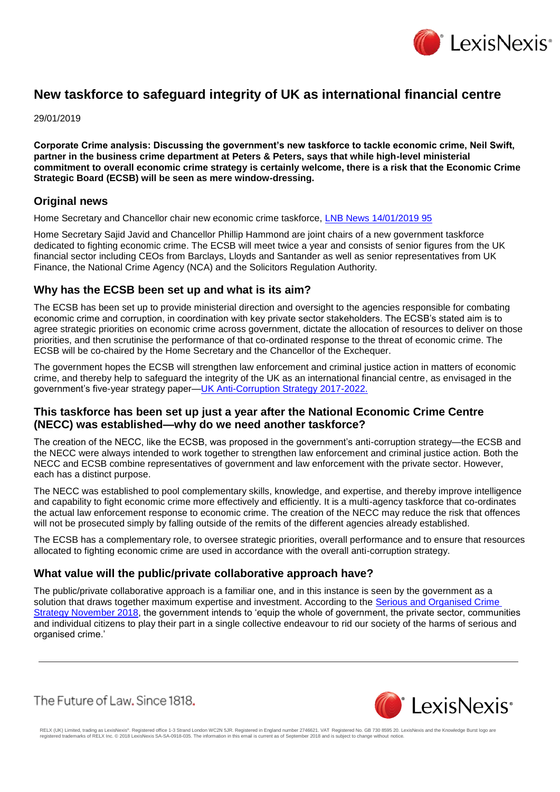

# **New taskforce to safeguard integrity of UK as international financial centre**

29/01/2019

**Corporate Crime analysis: Discussing the government's new taskforce to tackle economic crime, Neil Swift, partner in the business crime department at Peters & Peters, says that while high-level ministerial commitment to overall economic crime strategy is certainly welcome, there is a risk that the Economic Crime Strategic Board (ECSB) will be seen as mere window-dressing.**

### **Original news**

Home Secretary and Chancellor chair new economic crime taskforce, [LNB News 14/01/2019 95](https://www.lexisnexis.com/uk/lexispsl/corporatecrime/linkHandler.faces?ps=null&bct=A&homeCsi=412012&A=0.6682147133865792&urlEnc=ISO-8859-1&&remotekey1=DIGEST-CITATION(LNB%20News%2014/01/2019%2095)&remotekey2=All%20Subscribed%20Current%20Awareness%20Sources&dpsi=0S4D&cmd=f:exp&service=QUERY&origdpsi=0S4D)

Home Secretary Sajid Javid and Chancellor Phillip Hammond are joint chairs of a new government taskforce dedicated to fighting economic crime. The ECSB will meet twice a year and consists of senior figures from the UK financial sector including CEOs from Barclays, Lloyds and Santander as well as senior representatives from UK Finance, the National Crime Agency (NCA) and the Solicitors Regulation Authority.

### **Why has the ECSB been set up and what is its aim?**

The ECSB has been set up to provide ministerial direction and oversight to the agencies responsible for combating economic crime and corruption, in coordination with key private sector stakeholders. The ECSB's stated aim is to agree strategic priorities on economic crime across government, dictate the allocation of resources to deliver on those priorities, and then scrutinise the performance of that co-ordinated response to the threat of economic crime. The ECSB will be co-chaired by the Home Secretary and the Chancellor of the Exchequer.

The government hopes the ECSB will strengthen law enforcement and criminal justice action in matters of economic crime, and thereby help to safeguard the integrity of the UK as an international financial centre, as envisaged in the government's five-year strategy paper-UK Anti-Corruption Strategy 2017-2022.

# **This taskforce has been set up just a year after the National Economic Crime Centre (NECC) was established—why do we need another taskforce?**

The creation of the NECC, like the ECSB, was proposed in the government's anti-corruption strategy—the ECSB and the NECC were always intended to work together to strengthen law enforcement and criminal justice action. Both the NECC and ECSB combine representatives of government and law enforcement with the private sector. However, each has a distinct purpose.

The NECC was established to pool complementary skills, knowledge, and expertise, and thereby improve intelligence and capability to fight economic crime more effectively and efficiently. It is a multi-agency taskforce that co-ordinates the actual law enforcement response to economic crime. The creation of the NECC may reduce the risk that offences will not be prosecuted simply by falling outside of the remits of the different agencies already established.

The ECSB has a complementary role, to oversee strategic priorities, overall performance and to ensure that resources allocated to fighting economic crime are used in accordance with the overall anti-corruption strategy.

### **What value will the public/private collaborative approach have?**

The public/private collaborative approach is a familiar one, and in this instance is seen by the government as a solution that draws together maximum expertise and investment. According to the Serious and Organised Crime [Strategy November 2018,](https://assets.publishing.service.gov.uk/government/uploads/system/uploads/attachment_data/file/752850/SOC-2018-web.pdf) the government intends to 'equip the whole of government, the private sector, communities and individual citizens to play their part in a single collective endeavour to rid our society of the harms of serious and organised crime.'

The Future of Law, Since 1818.



RELX (UK) Limited, trading as LexisNexis®. Registered office 1-3 Strand London WC2N 5JR. Registered in England number 2746621. VAT Registered No. GB 730 8595 20. LexisNexis and the Knowledge Burst logo are<br>registered trade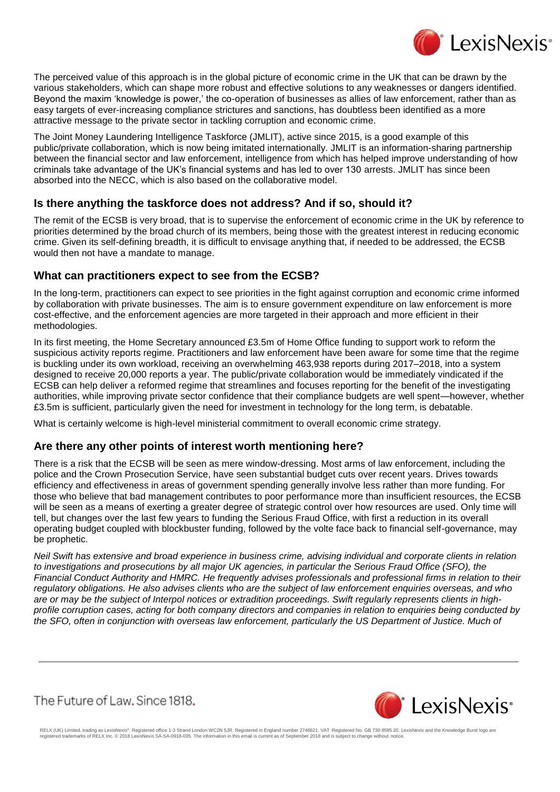

The perceived value of this approach is in the global picture of economic crime in the UK that can be drawn by the various stakeholders, which can shape more robust and effective solutions to any weaknesses or dangers identified. Beyond the maxim 'knowledge is power,' the co-operation of businesses as allies of law enforcement, rather than as easy targets of ever-increasing compliance strictures and sanctions, has doubtless been identified as a more attractive message to the private sector in tackling corruption and economic crime.

The Joint Money Laundering Intelligence Taskforce (JMLIT), active since 2015, is a good example of this public/private collaboration, which is now being imitated internationally. JMLIT is an information-sharing partnership between the financial sector and law enforcement, intelligence from which has helped improve understanding of how criminals take advantage of the UK's financial systems and has led to over 130 arrests. JMLIT has since been absorbed into the NECC, which is also based on the collaborative model.

# **Is there anything the taskforce does not address? And if so, should it?**

The remit of the ECSB is very broad, that is to supervise the enforcement of economic crime in the UK by reference to priorities determined by the broad church of its members, being those with the greatest interest in reducing economic crime. Given its self-defining breadth, it is difficult to envisage anything that, if needed to be addressed, the ECSB would then not have a mandate to manage.

# **What can practitioners expect to see from the ECSB?**

In the long-term, practitioners can expect to see priorities in the fight against corruption and economic crime informed by collaboration with private businesses. The aim is to ensure government expenditure on law enforcement is more cost-effective, and the enforcement agencies are more targeted in their approach and more efficient in their methodologies.

In its first meeting, the Home Secretary announced £3.5m of Home Office funding to support work to reform the suspicious activity reports regime. Practitioners and law enforcement have been aware for some time that the regime is buckling under its own workload, receiving an overwhelming 463,938 reports during 2017–2018, into a system designed to receive 20,000 reports a year. The public/private collaboration would be immediately vindicated if the ECSB can help deliver a reformed regime that streamlines and focuses reporting for the benefit of the investigating authorities, while improving private sector confidence that their compliance budgets are well spent—however, whether £3.5m is sufficient, particularly given the need for investment in technology for the long term, is debatable.

What is certainly welcome is high-level ministerial commitment to overall economic crime strategy.

### **Are there any other points of interest worth mentioning here?**

There is a risk that the ECSB will be seen as mere window-dressing. Most arms of law enforcement, including the police and the Crown Prosecution Service, have seen substantial budget cuts over recent years. Drives towards efficiency and effectiveness in areas of government spending generally involve less rather than more funding. For those who believe that bad management contributes to poor performance more than insufficient resources, the ECSB will be seen as a means of exerting a greater degree of strategic control over how resources are used. Only time will tell, but changes over the last few years to funding the Serious Fraud Office, with first a reduction in its overall operating budget coupled with blockbuster funding, followed by the volte face back to financial self-governance, may be prophetic.

*Neil Swift has extensive and broad experience in business crime, advising individual and corporate clients in relation to investigations and prosecutions by all major UK agencies, in particular the Serious Fraud Office (SFO), the Financial Conduct Authority and HMRC. He frequently advises professionals and professional firms in relation to their regulatory obligations. He also advises clients who are the subject of law enforcement enquiries overseas, and who are or may be the subject of Interpol notices or extradition proceedings. Swift regularly represents clients in highprofile corruption cases, acting for both company directors and companies in relation to enquiries being conducted by*  the SFO, often in conjunction with overseas law enforcement, particularly the US Department of Justice. Much of

The Future of Law, Since 1818.



RELX (UK) Limited, trading as LexisNexis®. Registered office 1-3 Strand London WC2N 5JR. Registered in England number 2746621. VAT Registered No. GB 730 8595 20. LexisNexis and the Knowledge Burst logo are<br>registered trade